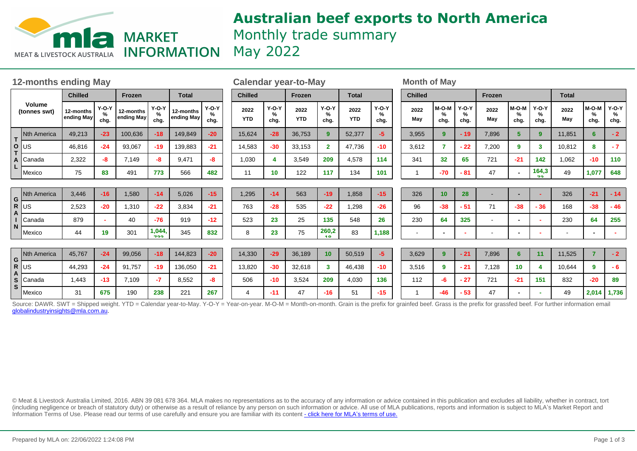

# **Australian beef exports to North America** Monthly trade summary May 2022

| <b>12-months ending May</b> |                                                                                                                                                                                                                           |                         |                      |                         |                      |                         | <b>Calendar year-to-May</b> |                    |                      |                    |                      |                    | <b>Month of May</b>  |                |                                |                      |                          |                          |                          |              |                    |                      |
|-----------------------------|---------------------------------------------------------------------------------------------------------------------------------------------------------------------------------------------------------------------------|-------------------------|----------------------|-------------------------|----------------------|-------------------------|-----------------------------|--------------------|----------------------|--------------------|----------------------|--------------------|----------------------|----------------|--------------------------------|----------------------|--------------------------|--------------------------|--------------------------|--------------|--------------------|----------------------|
| Volume<br>(tonnes swt)      |                                                                                                                                                                                                                           | <b>Chilled</b>          |                      | Frozen                  |                      | <b>Total</b>            |                             | <b>Chilled</b>     |                      | Frozen             |                      | <b>Total</b>       |                      | <b>Chilled</b> |                                |                      | Frozen                   |                          |                          | <b>Total</b> |                    |                      |
|                             |                                                                                                                                                                                                                           | 12-months<br>ending May | $Y-O-Y$<br>%<br>chg. | 12-months<br>ending May | $Y-O-Y$<br>%<br>chg. | 12-months<br>ending May | $Y-O-Y$<br>%<br>chg.        | 2022<br><b>YTD</b> | $Y-O-Y$<br>%<br>chg. | 2022<br><b>YTD</b> | $Y-O-Y$<br>%<br>chg. | 2022<br><b>YTD</b> | $Y-O-Y$<br>%<br>cha. | 2022<br>May    | M-O-M<br>$\frac{9}{6}$<br>chg. | $Y-O-Y$<br>%<br>chg. | 2022<br>May              | M-O-M<br>$\%$<br>chg.    | $Y-O-Y$<br>%<br>chg.     | 2022<br>May  | M-O-M<br>%<br>chg. | $Y-O-Y$<br>%<br>chg. |
| T.<br>O<br>A                | <b>Nth America</b>                                                                                                                                                                                                        | 49,213                  | $-23$                | 100,636                 | $-18$                | 149,849                 | $-20$                       | 15,624             | $-28$                | 36,753             | 9                    | 52,377             | -5.                  | 3,955          | 9                              | $-19$                | 7,896                    | 5                        | 9 <sup>°</sup>           | 11,851       | 6                  | $-2$                 |
|                             | US                                                                                                                                                                                                                        | 46,816                  | $-24$                | 93,067                  | $-19$                | 139,883                 | $-21$                       | 14,583             | $-30$                | 33,153             | $\overline{2}$       | 47,736             | $-10$                | 3,612          | 7                              | $-22$                | 7,200                    | 9                        | 3                        | 10,812       | 8                  | $-7$                 |
|                             | Canada                                                                                                                                                                                                                    | 2,322                   | -8                   | 7,149                   | -8                   | 9,471                   | -8                          | 1,030              |                      | 3,549              | 209                  | 4,578              | 114                  | 341            | 32                             | 65                   | 721                      | $-21$                    | 142                      | 1,062        | $-10$              | 110                  |
|                             | Mexico                                                                                                                                                                                                                    | 75                      | 83                   | 491                     | 773                  | 566                     | 482                         | 11                 | 10                   | 122                | 117                  | 134                | 101                  |                | $-70$                          | $-81$                | 47                       |                          | 164,3<br>72              | 49           | 1,077              | 648                  |
|                             |                                                                                                                                                                                                                           |                         |                      |                         |                      |                         |                             |                    |                      |                    |                      |                    |                      |                |                                |                      |                          |                          |                          |              |                    |                      |
| G<br>R.                     | <b>Nth America</b>                                                                                                                                                                                                        | 3,446                   | $-16$                | 1,580                   | $-14$                | 5,026                   | $-15$                       | 1,295              | $-14$                | 563                | $-19$                | 1,858              | $-15$                | 326            | 10                             | 28                   | ۰                        |                          | ÷.                       | 326          | $-21$              | $-14$                |
|                             | <b>US</b>                                                                                                                                                                                                                 | 2,523                   | $-20$                | 1,310                   | $-22$                | 3,834                   | $-21$                       | 763                | $-28$                | 535                | $-22$                | 1,298              | $-26$                | 96             | $-38$                          | $-51$                | 71                       | $-38$                    | $-36$                    | 168          | $-38$              | $-46$                |
|                             | Canada                                                                                                                                                                                                                    | 879                     |                      | 40                      | $-76$                | 919                     | $-12$                       | 523                | 23                   | 25                 | 135                  | 548                | 26                   | 230            | 64                             | 325                  | $\blacksquare$           | $\overline{\phantom{0}}$ | $\overline{\phantom{a}}$ | 230          | 64                 | 255                  |
|                             | Mexico                                                                                                                                                                                                                    | 44                      | 19                   | 301                     | 1,044,<br>722        | 345                     | 832                         | 8                  | 23                   | 75                 | 260,2<br>40.         | 83                 | 1,188                |                | $\blacksquare$                 |                      | $\overline{\phantom{a}}$ |                          | $\overline{\phantom{a}}$ |              |                    |                      |
|                             |                                                                                                                                                                                                                           |                         |                      |                         |                      |                         |                             |                    |                      |                    |                      |                    |                      |                |                                |                      |                          |                          |                          |              |                    |                      |
| $G \cup S$<br>S.<br>S       | <b>Nth America</b>                                                                                                                                                                                                        | 45,767                  | $-24$                | 99,056                  | $-18$                | 144,823                 | $-20$                       | 14,330             | $-29$                | 36,189             | 10                   | 50,519             | $-5$                 | 3,629          | 9                              | $-21$                | 7,896                    | 6                        | 11                       | 11,525       |                    | $-2$                 |
|                             |                                                                                                                                                                                                                           | 44,293                  | $-24$                | 91,757                  | $-19$                | 136,050                 | $-21$                       | 13,820             | $-30$                | 32,618             | $\mathbf{3}$         | 46,438             | $-10$                | 3,516          | 9                              | $-21$                | 7,128                    | 10                       | 4                        | 10,644       | 9                  | $-6$                 |
|                             | Canada                                                                                                                                                                                                                    | 1,443                   | $-13$                | 7,109                   | $-7$                 | 8,552                   | -8                          | 506                | $-10$                | 3,524              | 209                  | 4,030              | 136                  | 112            | -6                             | $-27$                | 721                      | $-21$                    | 151                      | 832          | $-20$              | 89                   |
|                             | Mexico                                                                                                                                                                                                                    | 31                      | 675                  | 190                     | 238                  | 221                     | 267                         | 4                  | $-11$                | 47                 | $-16$                | 51                 | $-15$                |                | $-46$                          | $-53$                | 47                       |                          | $\sim$                   | 49           | 2,014              | 1,736                |
|                             | Source: DAWR. SWT = Shipped weight. YTD = Calendar year-to-May. Y-O-Y = Year-on-year. M-O-M = Month-on-month. Grain is the prefix for grainfed beef. Grass is the prefix for grassfed beef. For further information email |                         |                      |                         |                      |                         |                             |                    |                      |                    |                      |                    |                      |                |                                |                      |                          |                          |                          |              |                    |                      |

globalindustryinsights@mla.com.au.

© Meat & Livestock Australia Limited, 2016. ABN 39 081 678 364. MLA makes no representations as to the accuracy of any information or advice contained in this publication and excludes all liability, whether in contract, tort (including negligence or breach of statutory duty) or otherwise as a result of reliance by any person on such information or advice. All use of MLA publications, reports and information is subject to MLA¶s Market Report and Information Terms of Use. Please read our terms of use carefully and ensure you are familiar with its content [- click here for MLA](http://www.mla.com.au/files/edae0364-a185-4a6f-9dff-a42700d1463a/MLA-Market-Report-and-Information-Terms-of-use-Dec-2014.pdf)'[s terms of use.](http://www.mla.com.au/files/edae0364-a185-4a6f-9dff-a42700d1463a/MLA-Market-Report-and-Information-Terms-of-use-Dec-2014.pdf)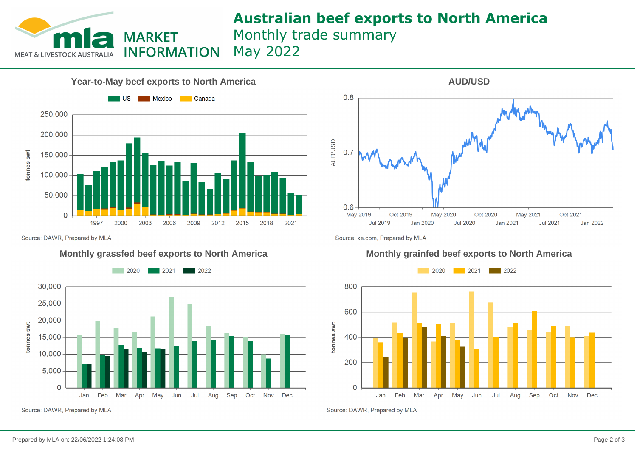

## **Australian beef exports to North America** Monthly trade summary May 2022

**Year-to-May beef exports to North America Nexico** Canada  $\blacksquare$  US 250,000 200,000 tonnes swt 150,000 100,000 50,000  $\overline{0}$ 1997 2000 2003 2006 2009 2012 2015 2018 2021

Source: DAWR, Prepared by MLA



Source: DAWR, Prepared by MLA



Source: xe.com, Prepared by MLA

### **Monthly grassfed beef exports to North America Monthly grainfed beef exports to North America**



Source: DAWR, Prepared by MLA